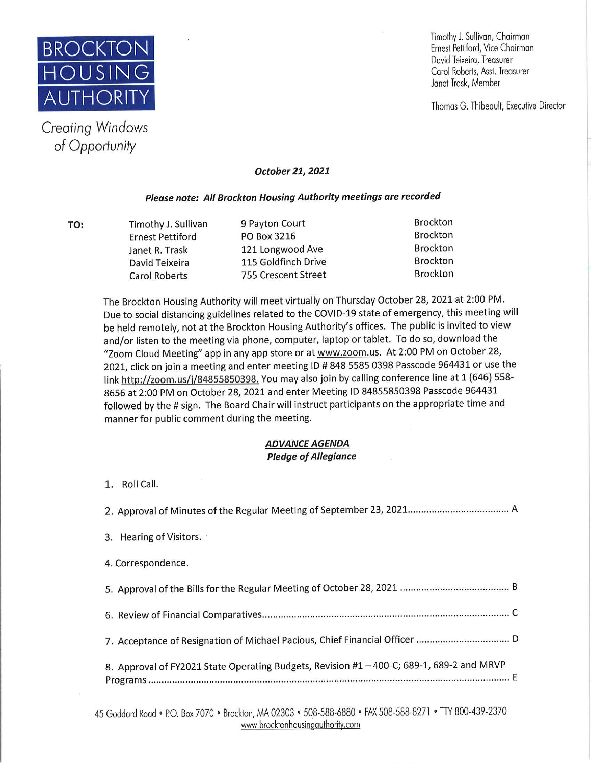

*Creating Windows*  of Opportunity

Timothy J. Sullivan, Chairman David Teixeira, Treasurer Carol Roberts, Asst. Treasurer Janel Trask, Member

**Thomas G. Thibeault, Executive Director** 

## **October 21, 2021**

## **Please note: All Brockton Housing Authority meetings are recorded**

**TO:** Timothy J. Sullivan 9 Payton Court Brockton Ernest Pettiford PO Box 3216 Janet R. Trask 121 Longwood Ave and Brockton David Teixeira **115 Goldfinch Drive** Brockton Carol Roberts **755 Crescent Street** Brockton

The Brockton Housing Authority will meet virtually on Thursday October 28, 2021 at 2:00 PM. Due to social distancing guidelines related to the COVID-19 state of emergency, this meeting will be held remotely, not at the Brockton Housing Authority's offices. The public is invited to view and/or listen to the meeting via phone, computer, laptop or tablet. To do so, download the "Zoom Cloud Meeting" app in any app store or at www.zoom.us. At 2:00 PM on October 28, 2021, click on join a meeting and enter meeting ID # 848 5585 0398 Passcode 964431 or use the link http://zoom.us/j/84855850398. You may also join by calling conference line at 1 (646) 558-8656 at 2:00 PM on October 28, 2021 and enter Meeting ID 84855850398 Passcode 964431 followed by the # sign. The Board Chair will instruct participants on the appropriate time and manner for public comment during the meeting.

## **ADVANCE AGENDA Pledge of Allegiance**

**1.** Roll Call.

2. Approval of Minutes of the Regular Meeting of September 23, 2021.. .................................... A

- 3. Hearing of Visitors.
- 4. Correspondence.

5. Approval of the Bills for the Regular Meeting of October 28, 2021 ......................................... B 6. Review of Financial Comparatives ............................................................................................. C 7. Acceptance of Resignation of Michael Pacious, Chief Financial Officer ................................... D 8. Approval of FY2021 State Operating Budgets, Revision #1 - 400-C; 689-1, 689-2 and MRVP Programs ........................................................................................................................................ E